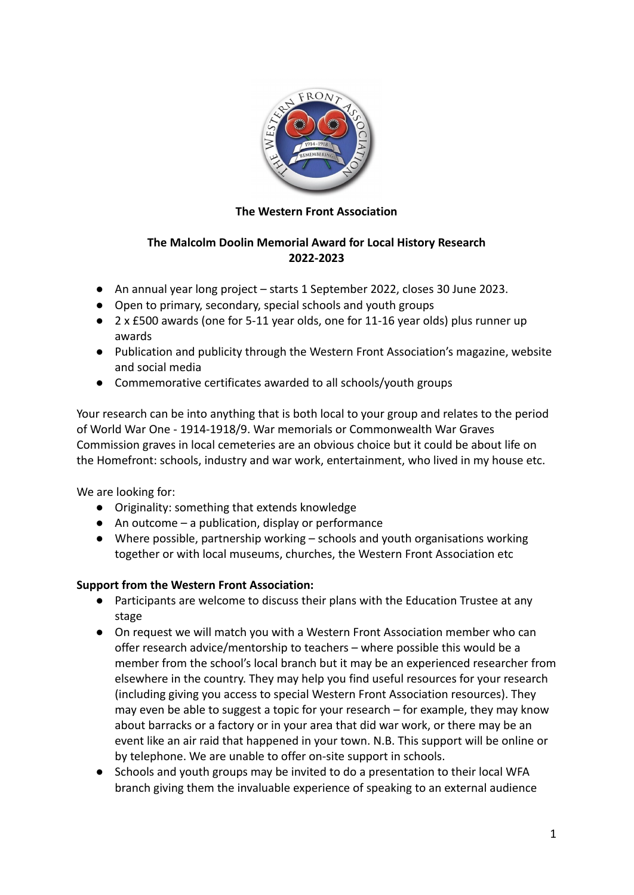

# **The Western Front Association**

# **The Malcolm Doolin Memorial Award for Local History Research 2022-2023**

- An annual year long project starts 1 September 2022, closes 30 June 2023.
- Open to primary, secondary, special schools and youth groups
- 2 x £500 awards (one for 5-11 year olds, one for 11-16 year olds) plus runner up awards
- Publication and publicity through the Western Front Association's magazine, website and social media
- Commemorative certificates awarded to all schools/youth groups

Your research can be into anything that is both local to your group and relates to the period of World War One - 1914-1918/9. War memorials or Commonwealth War Graves Commission graves in local cemeteries are an obvious choice but it could be about life on the Homefront: schools, industry and war work, entertainment, who lived in my house etc.

We are looking for:

- Originality: something that extends knowledge
- $\bullet$  An outcome a publication, display or performance
- Where possible, partnership working schools and youth organisations working together or with local museums, churches, the Western Front Association etc

# **Support from the Western Front Association:**

- Participants are welcome to discuss their plans with the Education Trustee at any stage
- On request we will match you with a Western Front Association member who can offer research advice/mentorship to teachers – where possible this would be a member from the school's local branch but it may be an experienced researcher from elsewhere in the country. They may help you find useful resources for your research (including giving you access to special Western Front Association resources). They may even be able to suggest a topic for your research – for example, they may know about barracks or a factory or in your area that did war work, or there may be an event like an air raid that happened in your town. N.B. This support will be online or by telephone. We are unable to offer on-site support in schools.
- Schools and youth groups may be invited to do a presentation to their local WFA branch giving them the invaluable experience of speaking to an external audience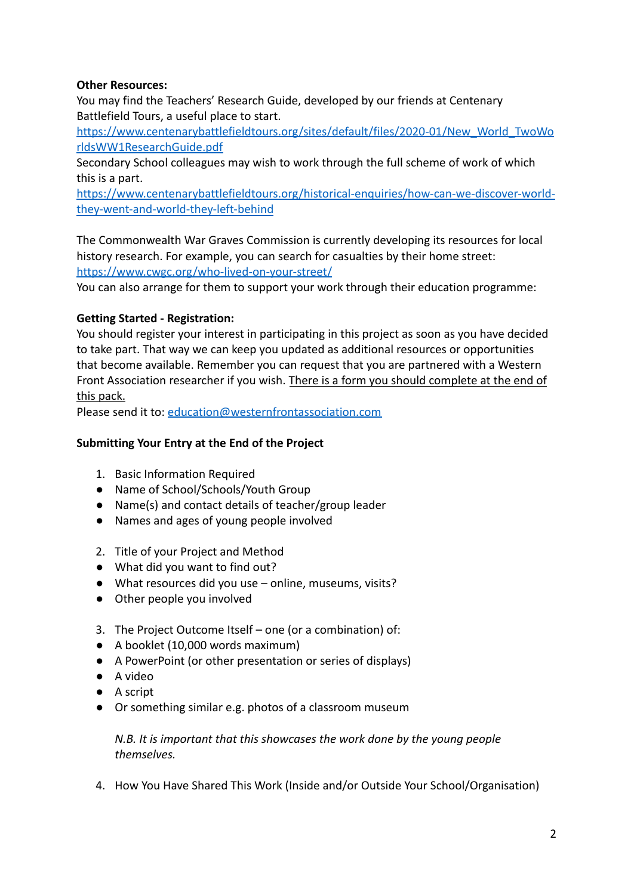# **Other Resources:**

You may find the Teachers' Research Guide, developed by our friends at Centenary Battlefield Tours, a useful place to start.

[https://www.centenarybattlefieldtours.org/sites/default/files/2020-01/New\\_World\\_TwoWo](https://www.centenarybattlefieldtours.org/sites/default/files/2020-01/New_World_TwoWorldsWW1ResearchGuide.pdf) [rldsWW1ResearchGuide.pdf](https://www.centenarybattlefieldtours.org/sites/default/files/2020-01/New_World_TwoWorldsWW1ResearchGuide.pdf)

Secondary School colleagues may wish to work through the full scheme of work of which this is a part.

[https://www.centenarybattlefieldtours.org/historical-enquiries/how-can-we-discover-world](https://www.centenarybattlefieldtours.org/historical-enquiries/how-can-we-discover-world-they-went-and-world-they-left-behind)[they-went-and-world-they-left-behind](https://www.centenarybattlefieldtours.org/historical-enquiries/how-can-we-discover-world-they-went-and-world-they-left-behind)

The Commonwealth War Graves Commission is currently developing its resources for local history research. For example, you can search for casualties by their home street: <https://www.cwgc.org/who-lived-on-your-street/>

You can also arrange for them to support your work through their education programme:

## **Getting Started - Registration:**

You should register your interest in participating in this project as soon as you have decided to take part. That way we can keep you updated as additional resources or opportunities that become available. Remember you can request that you are partnered with a Western Front Association researcher if you wish. There is a form you should complete at the end of this pack.

Please send it to: [education@westernfrontassociation.com](mailto:education@westernfrontassociation.com)

## **Submitting Your Entry at the End of the Project**

- 1. Basic Information Required
- Name of School/Schools/Youth Group
- Name(s) and contact details of teacher/group leader
- Names and ages of young people involved
- 2. Title of your Project and Method
- What did you want to find out?
- What resources did you use online, museums, visits?
- Other people you involved
- 3. The Project Outcome Itself one (or a combination) of:
- A booklet (10,000 words maximum)
- A PowerPoint (or other presentation or series of displays)
- A video
- A script
- Or something similar e.g. photos of a classroom museum

*N.B. It is important that this showcases the work done by the young people themselves.*

4. How You Have Shared This Work (Inside and/or Outside Your School/Organisation)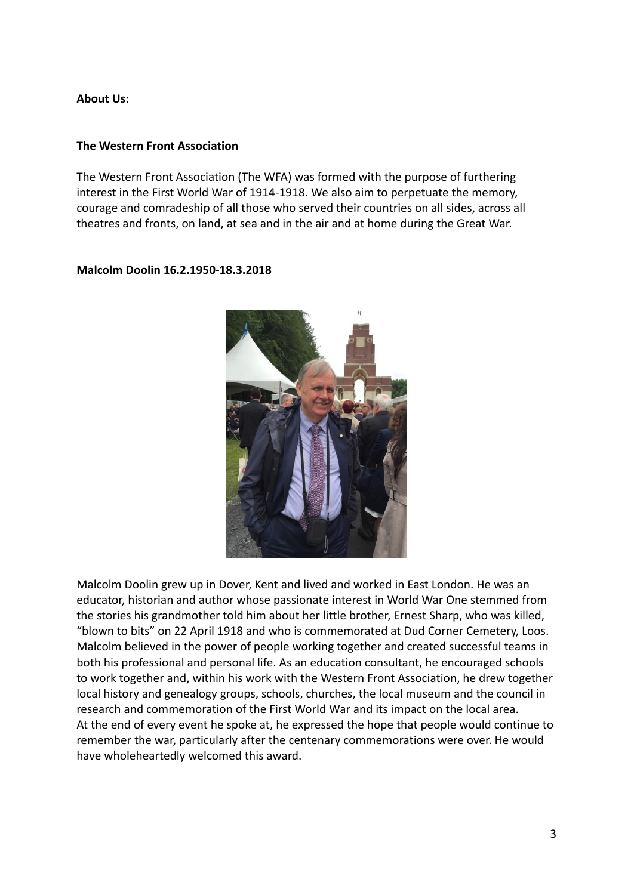#### **About Us:**

#### **The Western Front Association**

The Western Front Association (The WFA) was formed with the purpose of furthering interest in the First World War of 1914-1918. We also aim to perpetuate the memory, courage and comradeship of all those who served their countries on all sides, across all theatres and fronts, on land, at sea and in the air and at home during the Great War.

#### **Malcolm Doolin 16.2.1950-18.3.2018**



Malcolm Doolin grew up in Dover, Kent and lived and worked in East London. He was an educator, historian and author whose passionate interest in World War One stemmed from the stories his grandmother told him about her little brother, Ernest Sharp, who was killed, "blown to bits" on 22 April 1918 and who is commemorated at Dud Corner Cemetery, Loos. Malcolm believed in the power of people working together and created successful teams in both his professional and personal life. As an education consultant, he encouraged schools to work together and, within his work with the Western Front Association, he drew together local history and genealogy groups, schools, churches, the local museum and the council in research and commemoration of the First World War and its impact on the local area. At the end of every event he spoke at, he expressed the hope that people would continue to remember the war, particularly after the centenary commemorations were over. He would have wholeheartedly welcomed this award.